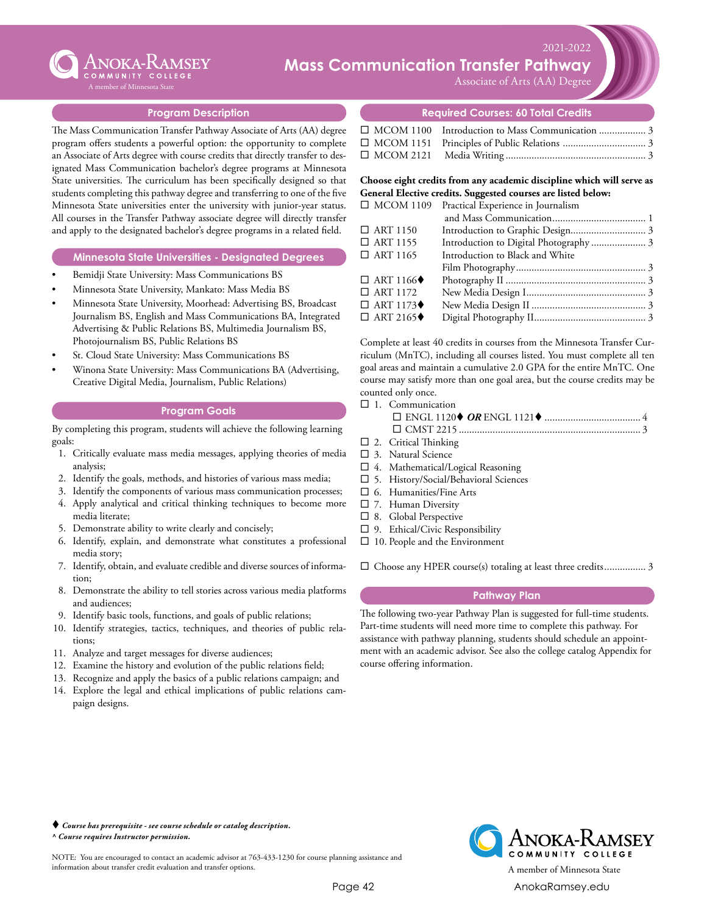

### Xxxxx ...........................................0 **C** ANOKA-RAMSEY **Mass Communication Transfer Pathway**

Associate of Arts (AA) Degree

 $\times 2021 - 2022$ 

## **Program Description**

The Mass Communication Transfer Pathway Associate of Arts (AA) degree program offers students a powerful option: the opportunity to complete an Associate of Arts degree with course credits that directly transfer to designated Mass Communication bachelor's degree programs at Minnesota State universities. The curriculum has been specifically designed so that students completing this pathway degree and transferring to one of the five Minnesota State universities enter the university with junior-year status. All courses in the Transfer Pathway associate degree will directly transfer and apply to the designated bachelor's degree programs in a related field.

### **Minnesota State Universities - Designated Degrees**

- Bemidji State University: Mass Communications BS
- Minnesota State University, Mankato: Mass Media BS
- Minnesota State University, Moorhead: Advertising BS, Broadcast Journalism BS, English and Mass Communications BA, Integrated Advertising & Public Relations BS, Multimedia Journalism BS, Photojournalism BS, Public Relations BS
- St. Cloud State University: Mass Communications BS
- Winona State University: Mass Communications BA (Advertising, Creative Digital Media, Journalism, Public Relations)

### **Program Goals**

By completing this program, students will achieve the following learning goals:

- 1. Critically evaluate mass media messages, applying theories of media analysis;
- 2. Identify the goals, methods, and histories of various mass media;
- 3. Identify the components of various mass communication processes;
- 4. Apply analytical and critical thinking techniques to become more media literate;
- 5. Demonstrate ability to write clearly and concisely;
- 6. Identify, explain, and demonstrate what constitutes a professional media story;
- 7. Identify, obtain, and evaluate credible and diverse sources of information;
- 8. Demonstrate the ability to tell stories across various media platforms and audiences;
- 9. Identify basic tools, functions, and goals of public relations;
- 10. Identify strategies, tactics, techniques, and theories of public relations;
- 11. Analyze and target messages for diverse audiences;
- 12. Examine the history and evolution of the public relations field;
- 13. Recognize and apply the basics of a public relations campaign; and
- 14. Explore the legal and ethical implications of public relations campaign designs.

## **Required Courses: 60 Total Credits**

| □ MCOM 1100 Introduction to Mass Communication  3 |  |
|---------------------------------------------------|--|
|                                                   |  |
|                                                   |  |

**Choose eight credits from any academic discipline which will serve as General Elective credits. Suggested courses are listed below:**

| $\Box$ MCOM 1109                | Practical Experience in Journalism |  |
|---------------------------------|------------------------------------|--|
|                                 |                                    |  |
| $\Box$ ART 1150                 |                                    |  |
| $\Box$ ART 1155                 |                                    |  |
| $\Box$ ART 1165                 | Introduction to Black and White    |  |
|                                 |                                    |  |
| $\Box$ ART 1166 $\blacklozenge$ |                                    |  |
| $\Box$ ART 1172                 |                                    |  |
| $\Box$ ART 1173 $\blacklozenge$ |                                    |  |
| $\Box$ ART 2165 $\blacklozenge$ |                                    |  |
|                                 |                                    |  |

Complete at least 40 credits in courses from the Minnesota Transfer Curriculum (MnTC), including all courses listed. You must complete all ten goal areas and maintain a cumulative 2.0 GPA for the entire MnTC. One course may satisfy more than one goal area, but the course credits may be counted only once.

 $\square$  1. Communication

- $\square$  2. Critical Thinking
- $\square$  3. Natural Science
- $\square$  4. Mathematical/Logical Reasoning
- $\square$  5. History/Social/Behavioral Sciences
- $\square$  6. Humanities/Fine Arts
- $\square$  7. Human Diversity
- $\square$  8. Global Perspective
- $\square$  9. Ethical/Civic Responsibility
- $\square$  10. People and the Environment

 $\square$  Choose any HPER course(s) totaling at least three credits.................. 3

## **Pathway Plan**

The following two-year Pathway Plan is suggested for full-time students. Part-time students will need more time to complete this pathway. For assistance with pathway planning, students should schedule an appointment with an academic advisor. See also the college catalog Appendix for course offering information.

 *Course has prerequisite - see course schedule or catalog description. ^ Course requires Instructor permission.*

NOTE: You are encouraged to contact an academic advisor at 763-433-1230 for course planning assistance and information about transfer credit evaluation and transfer options. A member of Minnesota State